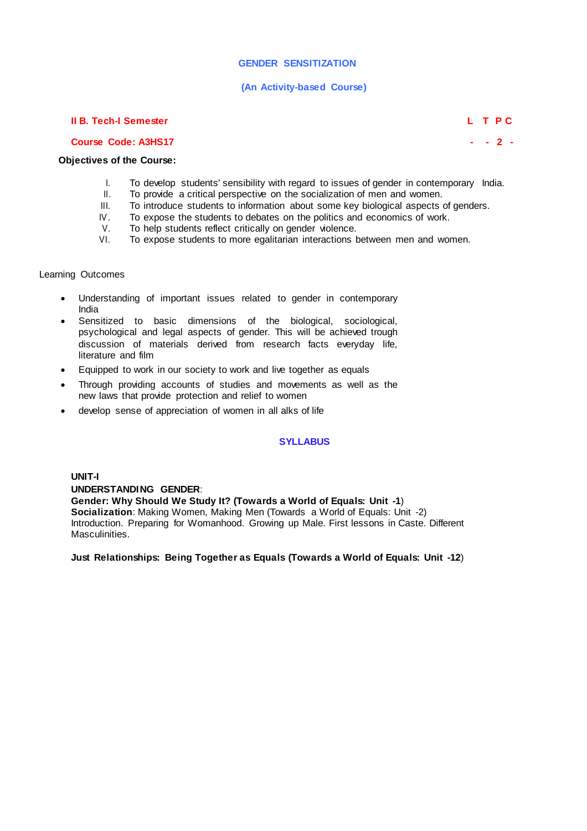# **GENDER SENSITIZATION**

### **(An Activity-based Course)**

### **II B. Tech-I Semester L T P C**

**Course Code: A3HS17 - - 2 -**

### **Objectives of the Course:**

- I. To develop students' sensibility with regard to issues of gender in contemporary India.<br>II. To provide a critical perspective on the socialization of men and women.
- II. To provide a critical perspective on the socialization of men and women.<br>III. To introduce students to information about some key biological aspects
- To introduce students to information about some key biological aspects of genders.
- IV. To expose the students to debates on the politics and economics of work.<br>V. To help students reflect critically on gender violence.
- V. To help students reflect critically on gender violence.<br>VI To expose students to more egalitarian interactions b
- To expose students to more egalitarian interactions between men and women.

### Learning Outcomes

- Understanding of important issues related to gender in contemporary India
- Sensitized to basic dimensions of the biological, sociological, psychological and legal aspects of gender. This will be achieved trough discussion of materials derived from research facts everyday life, literature and film
- Equipped to work in our society to work and live together as equals
- Through providing accounts of studies and movements as well as the new laws that provide protection and relief to women
- develop sense of appreciation of women in all alks of life

## **SYLLABUS**

**UNIT-I UNDERSTANDING GENDER**: **Gender: Why Should We Study It? (Towards a World of Equals: Unit -1**) **Socialization**: Making Women, Making Men (Towards a World of Equals: Unit -2) Introduction. Preparing for Womanhood. Growing up Male. First lessons in Caste. Different Masculinities.

**Just Relationships: Being Together as Equals (Towards a World of Equals: Unit -12**)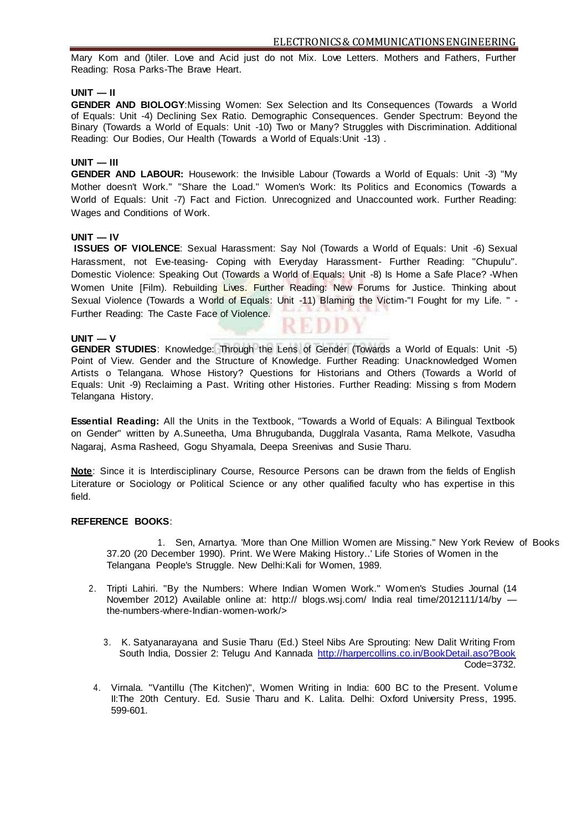Mary Kom and ()tiler. Love and Acid just do not Mix. Love Letters. Mothers and Fathers, Further Reading: Rosa Parks-The Brave Heart.

### **UNIT — II**

**GENDER AND BIOLOGY**:Missing Women: Sex Selection and Its Consequences (Towards a World of Equals: Unit -4) Declining Sex Ratio. Demographic Consequences. Gender Spectrum: Beyond the Binary (Towards a World of Equals: Unit -10) Two or Many? Struggles with Discrimination. Additional Reading: Our Bodies, Our Health (Towards a World of Equals:Unit -13) .

### **UNIT — III**

**GENDER AND LABOUR:** Housework: the Invisible Labour (Towards a World of Equals: Unit -3) "My Mother doesn't Work." "Share the Load." Women's Work: Its Politics and Economics (Towards a World of Equals: Unit -7) Fact and Fiction. Unrecognized and Unaccounted work. Further Reading: Wages and Conditions of Work.

### **UNIT — IV**

**ISSUES OF VIOLENCE**: Sexual Harassment: Say Nol (Towards a World of Equals: Unit -6) Sexual Harassment, not Eve-teasing- Coping with Everyday Harassment- Further Reading: "Chupulu". Domestic Violence: Speaking Out (Towards a World of Equals: Unit -8) Is Home a Safe Place? -When Women Unite [Film). Rebuilding Lives. Further Reading: New Forums for Justice. Thinking about Sexual Violence (Towards a World of Equals: Unit -11) Blaming the Victim-"I Fought for my Life. " -Further Reading: The Caste Face of Violence. RBDD

#### **UNIT — V**

**GENDER STUDIES**: Knowledge: Through the Lens of Gender (Towards a World of Equals: Unit -5) Point of View. Gender and the Structure of Knowledge. Further Reading: Unacknowledged Women Artists o Telangana. Whose History? Questions for Historians and Others (Towards a World of Equals: Unit -9) Reclaiming a Past. Writing other Histories. Further Reading: Missing s from Modern Telangana History.

**Essential Reading:** All the Units in the Textbook, "Towards a World of Equals: A Bilingual Textbook on Gender" written by A.Suneetha, Uma Bhrugubanda, Dugglrala Vasanta, Rama Melkote, Vasudha Nagaraj, Asma Rasheed, Gogu Shyamala, Deepa Sreenivas and Susie Tharu.

**Note**: Since it is Interdisciplinary Course, Resource Persons can be drawn from the fields of English Literature or Sociology or Political Science or any other qualified faculty who has expertise in this field.

#### **REFERENCE BOOKS**:

1. Sen, Arnartya. 'More than One Million Women are Missing." New York Review of Books 37.20 (20 December 1990). Print. We Were Making History..' Life Stories of Women in the Telangana People's Struggle. New Delhi:Kali for Women, 1989.

- 2. Tripti Lahiri. "By the Numbers: Where Indian Women Work." Women's Studies Journal (14 November 2012) Available online at: http:// blogs.wsj.com/ India real time/2012111/14/by the-numbers-where-Indian-women-work/>
	- 3. K. Satyanarayana and Susie Tharu (Ed.) Steel Nibs Are Sprouting: New Dalit Writing From South India, Dossier 2: Telugu And Kannada <http://harpercollins.co.in/BookDetail.aso?Book> Code=3732.
- 4. Virnala. "Vantillu (The Kitchen)", Women Writing in India: 600 BC to the Present. Volume II:The 20th Century. Ed. Susie Tharu and K. Lalita. Delhi: Oxford University Press, 1995. 599-601.